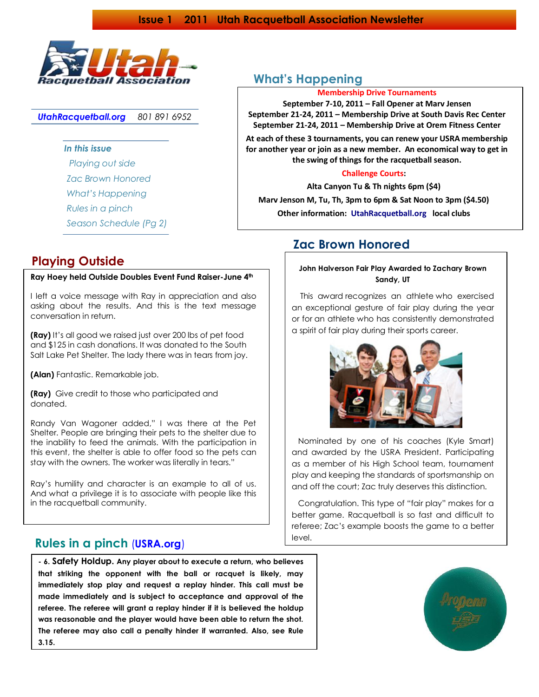

## *UtahRacquetball.org 801 891 6952*

### *In this issue*

 *Playing out side*

*Zac Brown Honored*

*What's Happening*

*Rules in a pinch*

*Season Schedule (Pg 2)* 

## **Ray Hoey held Outside Doubles Event Fund Raiser-June 4th**

I left a voice message with Ray in appreciation and also asking about the results. And this is the text message conversation in return.

**(Ray)** It's all good we raised just over 200 lbs of pet food and \$125 in cash donations. It was donated to the South Salt Lake Pet Shelter. The lady there was in tears from joy.

**(Alan)** Fantastic. Remarkable job.

**(Ray)** Give credit to those who participated and donated.

Randy Van Wagoner added," I was there at the Pet Shelter. People are bringing their pets to the shelter due to the inability to feed the animals. With the participation in this event, the shelter is able to offer food so the pets can stay with the owners. The worker was literally in tears."

Ray's humility and character is an example to all of us. And what a privilege it is to associate with people like this in the racquetball community.

## **Rules in a pinch** (**USRA.org**)

**- 6. Safety Holdup. Any player about to execute a return, who believes that striking the opponent with the ball or racquet is likely, may immediately stop play and request a replay hinder. This call must be made immediately and is subject to acceptance and approval of the referee. The referee will grant a replay hinder if it is believed the holdup was reasonable and the player would have been able to return the shot. The referee may also call a penalty hinder if warranted. Also, see Rule 3.15.**



### **Membership Drive Tournaments**

**September 7-10, 2011 – Fall Opener at Marv Jensen September 21-24, 2011 – Membership Drive at South Davis Rec Center September 21-24, 2011 – Membership Drive at Orem Fitness Center**

**At each of these 3 tournaments, you can renew your USRA membership for another year or join as a new member. An economical way to get in the swing of things for the racquetball season.**

## **Challenge Courts:**

**Alta Canyon Tu & Th nights 6pm (\$4)**

**Marv Jenson M, Tu, Th, 3pm to 6pm & Sat Noon to 3pm (\$4.50) Other information: UtahRacquetball.org local clubs**

## **Zac Brown Honored**

# **Playing Outside John Halverson Fair Play Awarded to Zachary Brown Sandy, UT**

 This award recognizes an athlete who exercised an exceptional gesture of fair play during the year or for an athlete who has consistently demonstrated a spirit of fair play during their sports career.



 Nominated by one of his coaches (Kyle Smart) and awarded by the USRA President. Participating as a member of his High School team, tournament play and keeping the standards of sportsmanship on and off the court; Zac truly deserves this distinction.

 Congratulation. This type of "fair play" makes for a better game. Racquetball is so fast and difficult to referee; Zac's example boosts the game to a better level.